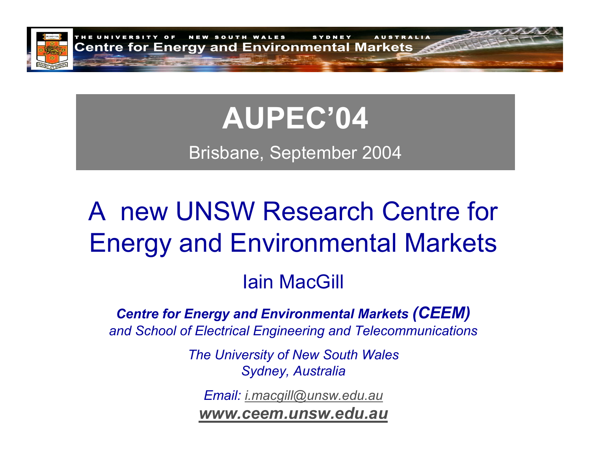

# **AUPEC'04**

Brisbane, September 2004

# A new UNSW Research Centre for Energy and Environmental Markets

### Iain MacGill

#### *Centre for Energy and Environmental Markets (CEEM) and School of Electrical Engineering and Telecommunications*

*The University of New South Wales Sydney, Australia*

*Email: [i.macgill@unsw.edu.au](mailto:i.macgill@unsw.edu.au)*

*[www.ceem.unsw.edu.au](http://www.ceem.unsw.edu.au/)*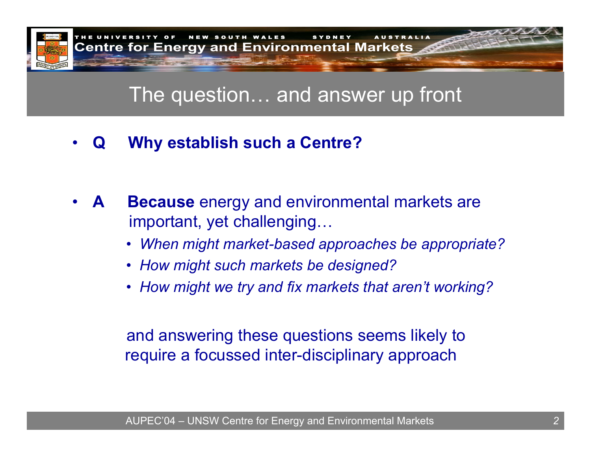

### The question… and answer up front

•**Q Why establish such a Centre?**

- •**ABecause** energy and environmental markets are important, yet challenging…
	- *When might market-based approaches be appropriate?*
	- *How might such markets be designed?*
	- *How might we try and fix markets that aren't working?*

and answering these questions seems likely to require a focussed inter-disciplinary approach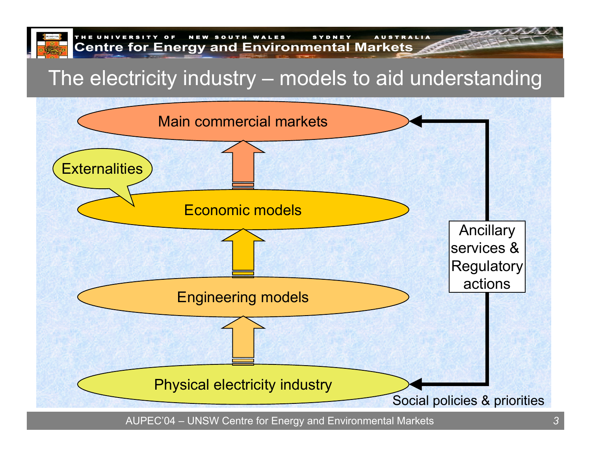

## The electricity industry – models to aid understanding

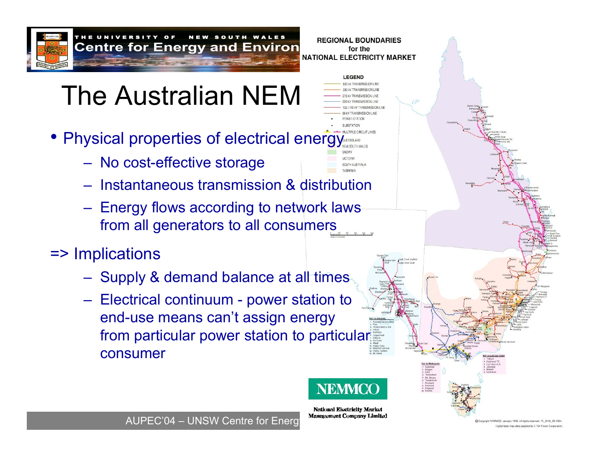

#### N E W SOUTH WALES REGIONAL BOUNDARIES **Centre for Energy and Environ Frequence Boothernes**

# The Australian NEM

- Physical properties of electrical energy
	- No cost-effective storage
	- Instantaneous transmission & distribution
	- Energy flows according to network laws from all generators to all consumers

### => Implications

- Supply & demand balance at all times
- Electrical continuum power station to end-use means can't assign energy from particular power station to particular consumer



**LEGEND** 

**ITH AUSTRALIA** 

**National Electricity Market** 

AUPEC'04 – UNSW Centre for Energy Management Company Limited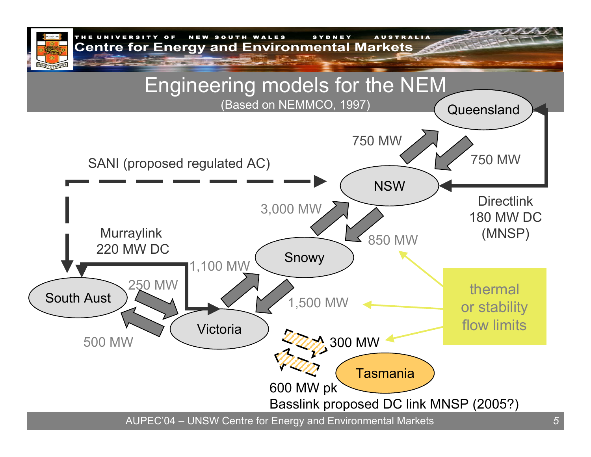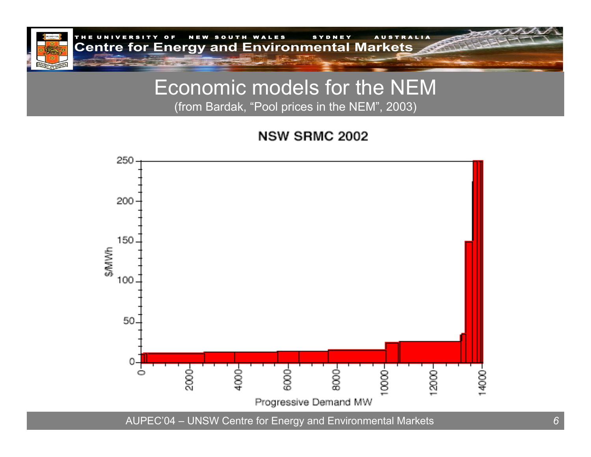

### Economic models for the NEM (from Bardak, " Pool prices in the NEM", 2003)

**NSW SRMC 2002** 



AUPEC'04 – UNSW Centre for Energy and Environmental Markets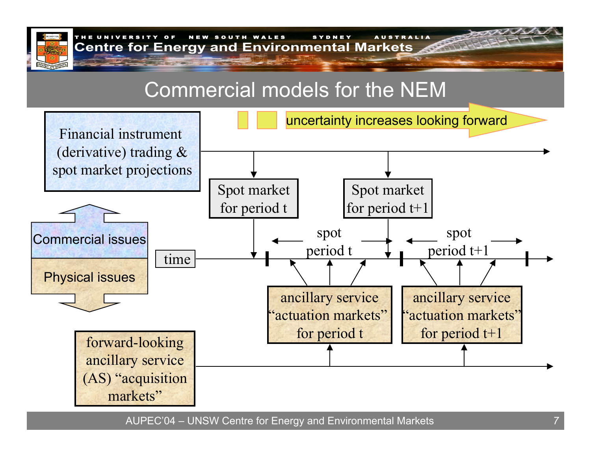

### Commercial models for the NEM

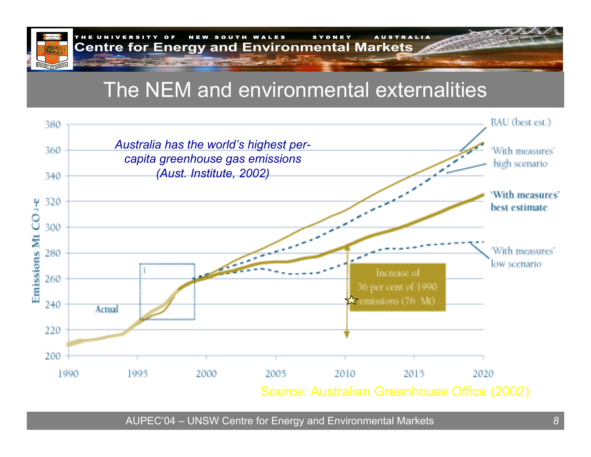

OF NEW SOUTH WALES SYDNEY AUSTRALIA **Centre for Energy and Environmental Markets** 

# The NEM and environmental externalities

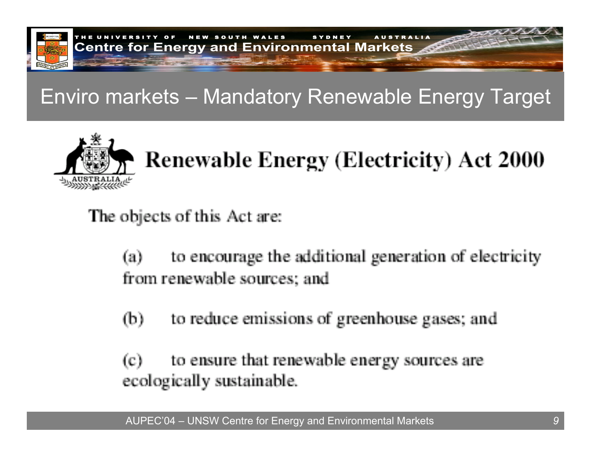

## Enviro markets – Mandatory Renewable Energy Target



# **Renewable Energy (Electricity) Act 2000**

The objects of this Act are:

to encourage the additional generation of electricity  $(a)$ from renewable sources; and

to reduce emissions of greenhouse gases; and  $(b)$ 

to ensure that renewable energy sources are  $\left( c\right)$ ecologically sustainable.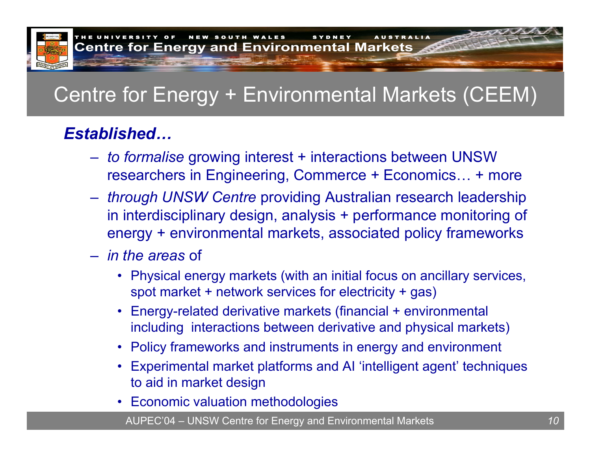

# Centre for Energy + Environmental Markets (CEEM)

### *Established…*

- *to formalise* growing interest + interactions between UNSW researchers in Engineering, Commerce + Economics… + more
- *through UNSW Centre* providing Australian research leadership in interdisciplinary design, analysis + performance monitoring of energy + environmental markets, associated policy frameworks
- *in the areas* of
	- Physical energy markets (with an initial focus on ancillary services, spot market + network services for electricity + gas)
	- • Energy-related derivative markets (financial + environmental including interactions between derivative and physical markets)
	- Policy frameworks and instruments in energy and environment
	- • Experimental market platforms and AI 'intelligent agent' t echniques to aid in market design
	- Economic valuation methodologies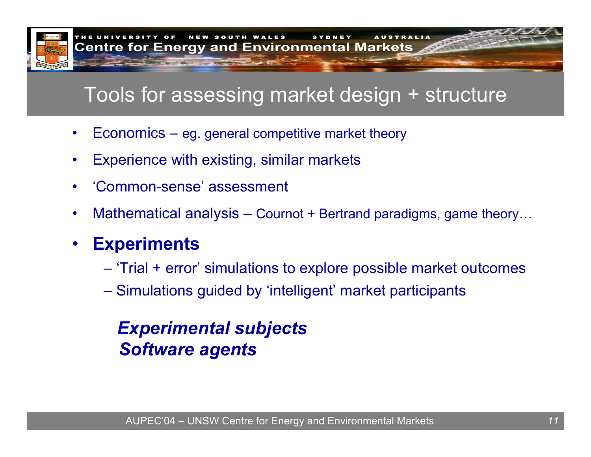

## Tools for assessing market design + structure

- •Economics – eg. general competitive market theory
- •Experience with existing, similar markets
- •'Common-sense' assessment
- •Mathematical analysis – Cournot + Bertrand paradigms, game theory…
- • **Experiments**
	- 'Trial + error' simulations to explore possible market outcomes
	- Simulations guided by 'intelligent' market participants

### *Experimental subjects Software agents*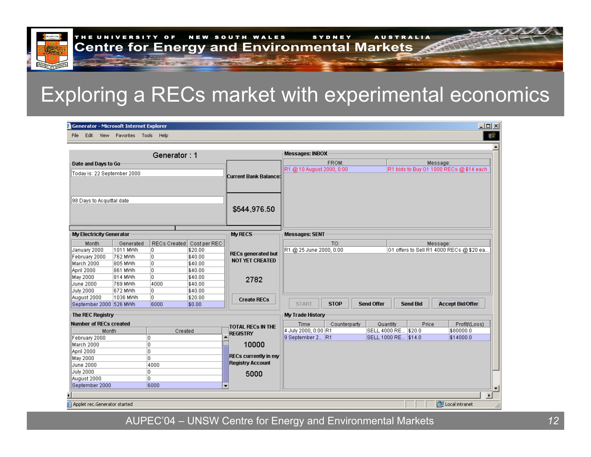## Exploring a RECs market with experimental economics

| <b>3</b> Generator - Microsoft Internet Explorer                                    |                                                         |                              |                                                                       |                                                                     |                                                  |              |                   |                                            |       |                                                      | 그미지 |
|-------------------------------------------------------------------------------------|---------------------------------------------------------|------------------------------|-----------------------------------------------------------------------|---------------------------------------------------------------------|--------------------------------------------------|--------------|-------------------|--------------------------------------------|-------|------------------------------------------------------|-----|
| Edit<br>File                                                                        | View Favorites Tools Help                               |                              |                                                                       |                                                                     |                                                  |              |                   |                                            |       |                                                      | 編   |
|                                                                                     |                                                         | Generator: 1                 |                                                                       |                                                                     | Messages: INBOX                                  |              |                   |                                            |       |                                                      |     |
| Date and Days to Go                                                                 |                                                         |                              |                                                                       |                                                                     |                                                  | FROM:        |                   |                                            |       | Message:                                             |     |
| Today is: 22 September 2000                                                         |                                                         |                              |                                                                       | Current Bank Balance:                                               | R1 @ 10 August 2000, 0:00                        |              |                   |                                            |       | R1 bids to Buy G1 1000 RECs @ \$14 each              |     |
| 98 Days to Acquittal date                                                           |                                                         |                              |                                                                       | \$544,976.50                                                        |                                                  |              |                   |                                            |       |                                                      |     |
|                                                                                     |                                                         |                              |                                                                       |                                                                     |                                                  |              |                   |                                            |       |                                                      |     |
| My Electricity Generator                                                            |                                                         |                              | <b>My RECS</b>                                                        | Messages: SENT                                                      |                                                  |              |                   |                                            |       |                                                      |     |
| Month<br>January 2000<br>February 2000<br>March 2000<br>April 2000                  | Generated<br>1011 MWh<br>762 MWh<br>1805 MWh<br>861 MWh | I٥.<br>lo.<br>o<br>O.        | RECs Created Cost per REC<br>\$20.00<br>\$40.00<br>\$40.00<br>\$40.00 | <b>RECs generated but</b><br><b>NOT YET CREATED</b>                 | R1 @ 25 June 2000, 0:00                          | TO:          |                   |                                            |       | Message:<br>G1 offers to Sell R1 4000 RECs @ \$20 ea |     |
| May 2000<br>June 2000<br><b>July 2000</b>                                           | 814 MWh<br> 769 MWh<br>672 MWh                          | lo.<br>4000<br>lo.           | \$40.00<br>\$40.00<br>\$40.00                                         | 2782                                                                |                                                  |              |                   |                                            |       |                                                      |     |
| August 2000<br>September 2000 526 MWh                                               | 1036 MWh                                                | o<br>6000                    | \$20.00<br>\$0.00                                                     | <b>Create RECs</b>                                                  | <b>START</b>                                     | <b>STOP</b>  | <b>Send Offer</b> | <b>Send Bid</b>                            |       | <b>Accept Bid/Offer</b>                              |     |
| The REC Registry                                                                    |                                                         |                              |                                                                       |                                                                     | My Trade History                                 |              |                   |                                            |       |                                                      |     |
| <b>Number of RECs created</b><br>Month<br>February 2000<br>March 2000<br>April 2000 |                                                         | Created<br>10.<br>o<br>o     |                                                                       | TOTAL RECs IN THE<br><b>REGISTRY</b><br>10000                       | Time<br>4 July 2000, 0:00 R1<br>9 September 2 R1 | Counterparty | Quantity          | SELL 4000 RE \$20.0<br>SELL 1000 RE \$14.0 | Price | Profit/(Loss)<br>\$80000.0<br>\$14000.0              |     |
| May 2000<br>June 2000<br><b>July 2000</b><br>August 2000<br>September 2000          |                                                         | O<br>4000<br>O.<br>0<br>6000 |                                                                       | <b>RECs currently in my</b><br><b>Registry Account</b><br>5000<br>÷ |                                                  |              |                   |                                            |       |                                                      |     |
|                                                                                     |                                                         |                              |                                                                       |                                                                     |                                                  |              |                   |                                            |       |                                                      |     |
| <sup>1</sup> Anglet van Canavatav stadtad                                           |                                                         |                              |                                                                       |                                                                     |                                                  |              |                   |                                            |       | <b>STELL and internal</b>                            |     |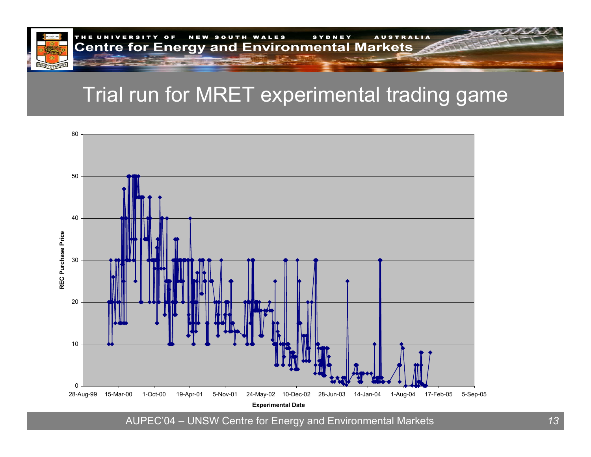

## Trial run for MRET experimental trading game

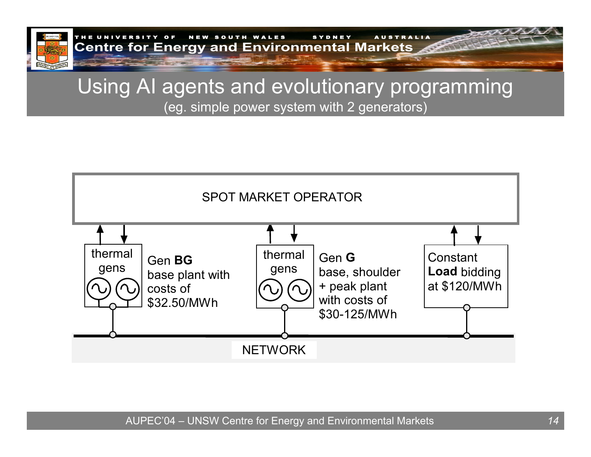

THE UNIVERSITY OF NEW SOUTH WALES SYDNEY AUSTRALIA **Centre for Energy and Environmental Markets** 

### Using AI agents and evolutionary programming (eg. simple power system with 2 generators)

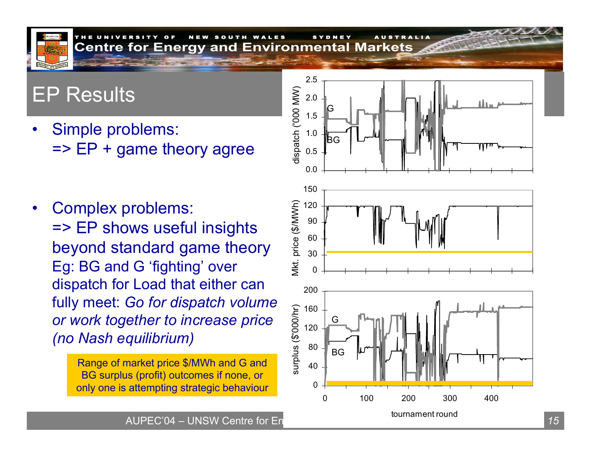### EP Results

•Simple problems:  $\Rightarrow$  EP + game theory agree

•Complex problems: => EP shows useful insights beyond standard game theory Eg: BG and G 'fighting' over dispatch for Load that either can fully meet: *Go for dispatch volume or work together to increase price (no Nash equilibrium)*

> Range of market price \$/MWh and G and BG surplus (profit) outcomes if none, or only one is attempting strategic behaviour